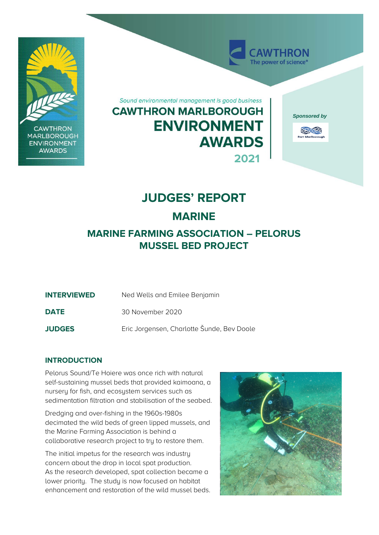

**CAWTHRON MARLBOROUGH ENVIRONMENT AWARDS** 

Sound environmental management is good business

## **CAWTHRON MARLBOROUGH ENVIRONMENT AWARDS 2021**



AWTHRON The power of science<sup>®</sup>



# **JUDGES' REPORT**

### **MARINE**

### **MARINE FARMING ASSOCIATION – PELORUS MUSSEL BED PROJECT**

- **INTERVIEWED** Ned Wells and Emilee Benjamin
- **DATE** 30 November 2020

**JUDGES** Eric Jorgensen, Charlotte Šunde, Bev Doole

### **INTRODUCTION**

Pelorus Sound/Te Hoiere was once rich with natural self-sustaining mussel beds that provided kaimoana, a nursery for fish, and ecosystem services such as sedimentation filtration and stabilisation of the seabed.

Dredging and over-fishing in the 1960s-1980s decimated the wild beds of green lipped mussels, and the Marine Farming Association is behind a collaborative research project to try to restore them.

The initial impetus for the research was industry concern about the drop in local spat production. As the research developed, spat collection became a lower priority. The study is now focused on habitat enhancement and restoration of the wild mussel beds.

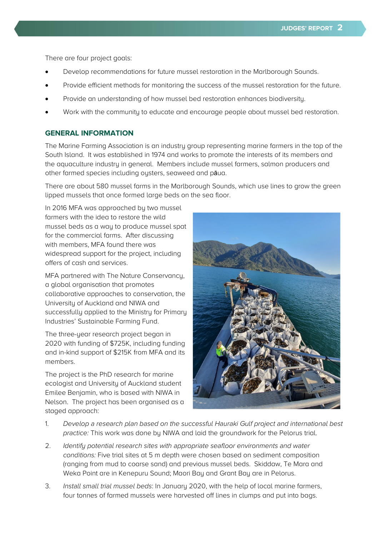There are four project goals:

- Develop recommendations for future mussel restoration in the Marlborough Sounds.
- Provide efficient methods for monitoring the success of the mussel restoration for the future.
- Provide an understanding of how mussel bed restoration enhances biodiversity.
- Work with the community to educate and encourage people about mussel bed restoration.

#### **GENERAL INFORMATION**

The Marine Farming Association is an industry group representing marine farmers in the top of the South Island. It was established in 1974 and works to promote the interests of its members and the aquaculture industry in general. Members include mussel farmers, salmon producers and other farmed species including oysters, seaweed and pāua.

There are about 580 mussel farms in the Marlborough Sounds, which use lines to grow the green lipped mussels that once formed large beds on the sea floor.

In 2016 MFA was approached by two mussel farmers with the idea to restore the wild mussel beds as a way to produce mussel spat for the commercial farms. After discussing with members, MFA found there was widespread support for the project, including offers of cash and services.

MFA partnered with The Nature Conservancy, a global organisation that promotes collaborative approaches to conservation, the University of Auckland and NIWA and successfully applied to the Ministry for Primary Industries' Sustainable Farming Fund.

The three-year research project began in 2020 with funding of \$725K, including funding and in-kind support of \$215K from MFA and its members.

The project is the PhD research for marine ecologist and University of Auckland student Emilee Benjamin, who is based with NIWA in Nelson. The project has been organised as a staged approach:



- 1. Develop a research plan based on the successful Hauraki Gulf project and international best practice: This work was done by NIWA and laid the groundwork for the Pelorus trial.
- 2. Identify potential research sites with appropriate seafloor environments and water conditions: Five trial sites at 5 m depth were chosen based on sediment composition (ranging from mud to coarse sand) and previous mussel beds. Skiddaw, Te Mara and Weka Point are in Kenepuru Sound; Maori Bay and Grant Bay are in Pelorus.
- 3. Install small trial mussel beds: In January 2020, with the help of local marine farmers, four tonnes of farmed mussels were harvested off lines in clumps and put into bags.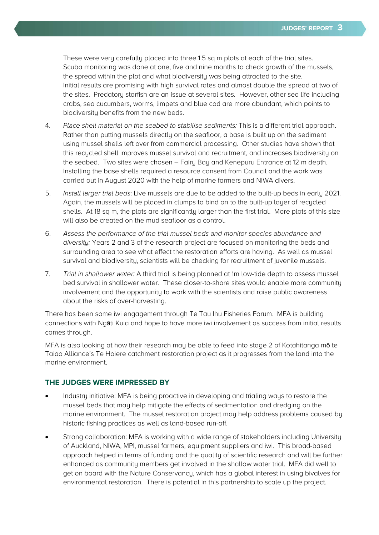These were very carefully placed into three 1.5 sq m plots at each of the trial sites. Scuba monitoring was done at one, five and nine months to check growth of the mussels, the spread within the plot and what biodiversity was being attracted to the site. Initial results are promising with high survival rates and almost double the spread at two of the sites. Predatory starfish are an issue at several sites. However, other sea life including crabs, sea cucumbers, worms, limpets and blue cod are more abundant, which points to biodiversity benefits from the new beds.

- 4. Place shell material on the seabed to stabilise sediments: This is a different trial approach. Rather than putting mussels directly on the seafloor, a base is built up on the sediment using mussel shells left over from commercial processing. Other studies have shown that this recycled shell improves mussel survival and recruitment, and increases biodiversity on the seabed. Two sites were chosen – Fairy Bay and Kenepuru Entrance at 12 m depth. Installing the base shells required a resource consent from Council and the work was carried out in August 2020 with the help of marine farmers and NIWA divers.
- 5. Install larger trial beds: Live mussels are due to be added to the built-up beds in early 2021. Again, the mussels will be placed in clumps to bind on to the built-up layer of recycled shells. At 18 sq m, the plots are significantly larger than the first trial. More plots of this size will also be created on the mud seafloor as a control.
- 6. Assess the performance of the trial mussel beds and monitor species abundance and diversity: Years 2 and 3 of the research project are focused on monitoring the beds and surrounding area to see what effect the restoration efforts are having. As well as mussel survival and biodiversity, scientists will be checking for recruitment of juvenile mussels.
- 7. Trial in shallower water: A third trial is being planned at 1m low-tide depth to assess mussel bed survival in shallower water. These closer-to-shore sites would enable more community involvement and the opportunity to work with the scientists and raise public awareness about the risks of over-harvesting.

There has been some iwi engagement through Te Tau Ihu Fisheries Forum. MFA is building connections with Ngāti Kuia and hope to have more iwi involvement as success from initial results comes through.

MFA is also looking at how their research may be able to feed into stage 2 of Kotahitanga mo te Taiao Alliance's Te Hoiere catchment restoration project as it progresses from the land into the marine environment.

#### **THE JUDGES WERE IMPRESSED BY**

- Industry initiative: MFA is being proactive in developing and trialing ways to restore the mussel beds that may help mitigate the effects of sedimentation and dredging on the marine environment. The mussel restoration project may help address problems caused by historic fishing practices as well as land-based run-off.
- Strong collaboration: MFA is working with a wide range of stakeholders including University of Auckland, NIWA, MPI, mussel farmers, equipment suppliers and iwi. This broad-based approach helped in terms of funding and the quality of scientific research and will be further enhanced as community members get involved in the shallow water trial. MFA did well to get on board with the Nature Conservancy, which has a global interest in using bivalves for environmental restoration. There is potential in this partnership to scale up the project.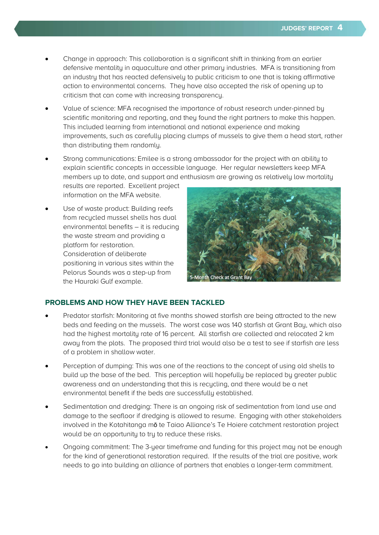- Change in approach: This collaboration is a significant shift in thinking from an earlier defensive mentality in aquaculture and other primary industries. MFA is transitioning from an industry that has reacted defensively to public criticism to one that is taking affirmative action to environmental concerns. They have also accepted the risk of opening up to criticism that can come with increasing transparency.
- Value of science: MFA recognised the importance of robust research under-pinned by scientific monitoring and reporting, and they found the right partners to make this happen. This included learning from international and national experience and making improvements, such as carefully placing clumps of mussels to give them a head start, rather than distributing them randomly.
- Strong communications: Emilee is a strong ambassador for the project with an ability to explain scientific concepts in accessible language. Her regular newsletters keep MFA members up to date, and support and enthusiasm are growing as relatively low mortality results are reported. Excellent project

information on the MFA website.

Use of waste product: Building reefs from recycled mussel shells has dual environmental benefits – it is reducing the waste stream and providing a platform for restoration. Consideration of deliberate positioning in various sites within the Pelorus Sounds was a step-up from the Hauraki Gulf example.



#### **PROBLEMS AND HOW THEY HAVE BEEN TACKLED**

- Predator starfish: Monitoring at five months showed starfish are being attracted to the new beds and feeding on the mussels. The worst case was 140 starfish at Grant Bay, which also had the highest mortality rate of 16 percent. All starfish are collected and relocated 2 km away from the plots. The proposed third trial would also be a test to see if starfish are less of a problem in shallow water.
- Perception of dumping: This was one of the reactions to the concept of using old shells to build up the base of the bed. This perception will hopefully be replaced by greater public awareness and an understanding that this is recycling, and there would be a net environmental benefit if the beds are successfully established.
- Sedimentation and dredging: There is an ongoing risk of sedimentation from land use and damage to the seafloor if dredging is allowed to resume. Engaging with other stakeholders involved in the Kotahitanga mo te Taiao Alliance's Te Hoiere catchment restoration project would be an opportunity to try to reduce these risks.
- Ongoing commitment: The 3-year timeframe and funding for this project may not be enough for the kind of generational restoration required. If the results of the trial are positive, work needs to go into building an alliance of partners that enables a longer-term commitment.